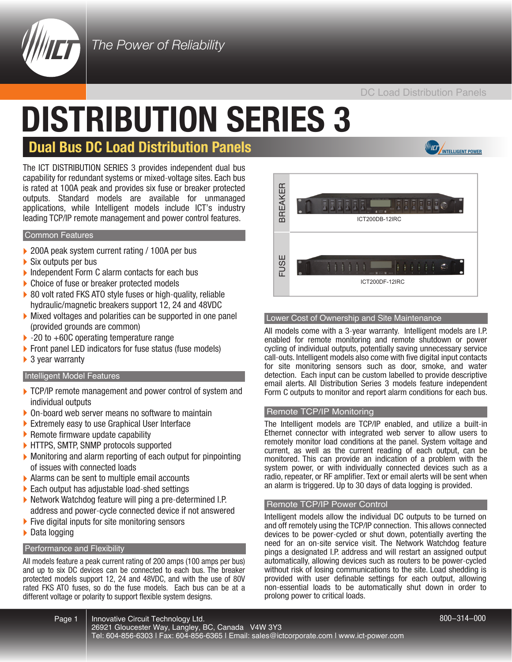

*The Power of Reliability* 

#### DC Load Distribution Panels

# **DISTRIBUTION SERIES 3**

## **Dual Bus DC Load Distribution Panels International Property Power**

The ICT DISTRIBUTION SERIES 3 provides independent dual bus capability for redundant systems or mixed-voltage sites. Each bus is rated at 100A peak and provides six fuse or breaker protected outputs. Standard models are available for unmanaged applications, while Intelligent models include ICT's industry leading TCP/IP remote management and power control features.

#### Common Features

- ▶ 200A peak system current rating / 100A per bus
- Six outputs per bus
- Independent Form C alarm contacts for each bus
- ▶ Choice of fuse or breaker protected models
- ▶ 80 volt rated FKS ATO style fuses or high-quality, reliable hydraulic/magnetic breakers support 12, 24 and 48VDC
- } Mixed voltages and polarities can be supported in one panel (provided grounds are common)
- ▶ -20 to +60C operating temperature range
- ▶ Front panel LED indicators for fuse status (fuse models)
- ▶ 3 year warranty

#### Intelligent Model Features

- TCP/IP remote management and power control of system and individual outputs
- } On-board web server means no software to maintain
- } Extremely easy to use Graphical User Interface
- Remote firmware update capability
- } HTTPS, SMTP, SNMP protocols supported
- } Monitoring and alarm reporting of each output for pinpointing of issues with connected loads
- } Alarms can be sent to multiple email accounts
- } Each output has adjustable load-shed settings
- ▶ Network Watchdog feature will ping a pre-determined I.P. address and power-cycle connected device if not answered
- $\blacktriangleright$  Five digital inputs for site monitoring sensors
- ▶ Data logging

#### Performance and Flexibility

All models feature a peak current rating of 200 amps (100 amps per bus) and up to six DC devices can be connected to each bus. The breaker protected models support 12, 24 and 48VDC, and with the use of 80V rated FKS ATO fuses, so do the fuse models. Each bus can be at a different voltage or polarity to support flexible system designs.



#### Lower Cost of Ownership and Site Maintenance

All models come with a 3-year warranty. Intelligent models are I.P. enabled for remote monitoring and remote shutdown or power cycling of individual outputs, potentially saving unnecessary service call-outs. Intelligent models also come with five digital input contacts for site monitoring sensors such as door, smoke, and water detection. Each input can be custom labelled to provide descriptive email alerts. All Distribution Series 3 models feature independent Form C outputs to monitor and report alarm conditions for each bus.

#### Remote TCP/IP Monitoring

The Intelligent models are TCP/IP enabled, and utilize a built-in Ethernet connector with integrated web server to allow users to remotely monitor load conditions at the panel. System voltage and current, as well as the current reading of each output, can be monitored. This can provide an indication of a problem with the system power, or with individually connected devices such as a radio, repeater, or RF amplifier. Text or email alerts will be sent when an alarm is triggered. Up to 30 days of data logging is provided.

#### Remote TCP/IP Power Control

Intelligent models allow the individual DC outputs to be turned on and off remotely using the TCP/IP connection. This allows connected devices to be power-cycled or shut down, potentially averting the need for an on-site service visit. The Network Watchdog feature pings a designated I.P. address and will restart an assigned output automatically, allowing devices such as routers to be power-cycled without risk of losing communications to the site. Load shedding is provided with user definable settings for each output, allowing non-essential loads to be automatically shut down in order to prolong power to critical loads.